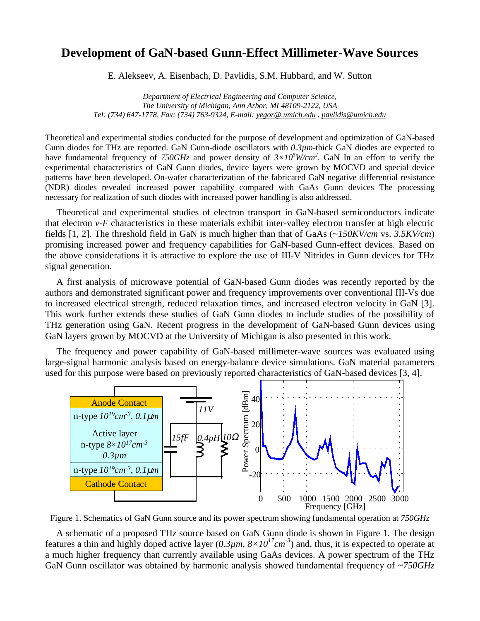## **Development of GaN-based Gunn-Effect Millimeter-Wave Sources**

E. Alekseev, A. Eisenbach, D. Pavlidis, S.M. Hubbard, and W. Sutton

*Department of Electrical Engineering and Computer Science, The University of Michigan, Ann Arbor, MI 48109-2122, USA Tel: (734) 647-1778, Fax: (734) 763-9324, E-mail: yegor@.umich.edu , pavlidis@umich.edu*

Theoretical and experimental studies conducted for the purpose of development and optimization of GaN-based Gunn diodes for THz are reported. GaN Gunn-diode oscillators with *0.3µm*-thick GaN diodes are expected to have fundamental frequency of *750GHz* and power density of  $3\times10^5$  *W/cm*<sup>2</sup>. GaN In an effort to verify the experimental characteristics of GaN Gunn diodes, device layers were grown by MOCVD and special device patterns have been developed. On-wafer characterization of the fabricated GaN negative differential resistance (NDR) diodes revealed increased power capability compared with GaAs Gunn devices The processing necessary for realization of such diodes with increased power handling is also addressed.

Theoretical and experimental studies of electron transport in GaN-based semiconductors indicate that electron  $v$ -F characteristics in these materials exhibit inter-valley electron transfer at high electric fields [1, 2]. The threshold field in GaN is much higher than that of GaAs (~*150KV/cm* vs. *3.5KV/cm*) promising increased power and frequency capabilities for GaN-based Gunn-effect devices. Based on the above considerations it is attractive to explore the use of III-V Nitrides in Gunn devices for THz signal generation.

A first analysis of microwave potential of GaN-based Gunn diodes was recently reported by the authors and demonstrated significant power and frequency improvements over conventional III-Vs due to increased electrical strength, reduced relaxation times, and increased electron velocity in GaN [3]. This work further extends these studies of GaN Gunn diodes to include studies of the possibility of THz generation using GaN. Recent progress in the development of GaN-based Gunn devices using GaN layers grown by MOCVD at the University of Michigan is also presented in this work.

The frequency and power capability of GaN-based millimeter-wave sources was evaluated using large-signal harmonic analysis based on energy-balance device simulations. GaN material parameters used for this purpose were based on previously reported characteristics of GaN-based devices [3, 4].



Figure 1. Schematics of GaN Gunn source and its power spectrum showing fundamental operation at *750GHz*

A schematic of a proposed THz source based on GaN Gunn diode is shown in Figure 1. The design features a thin and highly doped active layer  $(0.3\mu m, 8\times10^{17} cm^{-3})$  and, thus, it is expected to operate at a much higher frequency than currently available using GaAs devices. A power spectrum of the THz GaN Gunn oscillator was obtained by harmonic analysis showed fundamental frequency of ~*750GHz*